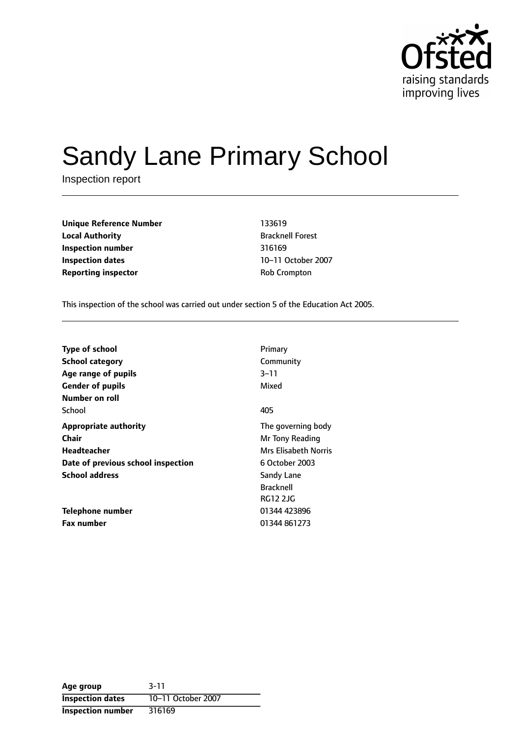

# Sandy Lane Primary School

Inspection report

| <b>Unique Reference Number</b> | 133619                 |
|--------------------------------|------------------------|
| <b>Local Authority</b>         | <b>Bracknell Fores</b> |
| Inspection number              | 316169                 |
| <b>Inspection dates</b>        | 10-11 October          |
| <b>Reporting inspector</b>     | <b>Rob Crompton</b>    |

**Unique Reference Number** 133619 **Bracknell Forest Inspection number** 316169 10-11 October 2007

This inspection of the school was carried out under section 5 of the Education Act 2005.

| <b>Type of school</b>              | Primary              |
|------------------------------------|----------------------|
| <b>School category</b>             | Community            |
| Age range of pupils                | $3 - 11$             |
| <b>Gender of pupils</b>            | Mixed                |
| Number on roll                     |                      |
| School                             | 405                  |
| <b>Appropriate authority</b>       | The governing body   |
| Chair                              | Mr Tony Reading      |
| Headteacher                        | Mrs Elisabeth Norris |
| Date of previous school inspection | 6 October 2003       |
| <b>School address</b>              | Sandy Lane           |
|                                    | <b>Bracknell</b>     |
|                                    | <b>RG12 2JG</b>      |
| Telephone number                   | 01344 423896         |
| <b>Fax number</b>                  | 01344 861273         |

| Age group                | $3 - 11$           |
|--------------------------|--------------------|
| <b>Inspection dates</b>  | 10-11 October 2007 |
| <b>Inspection number</b> | 316169             |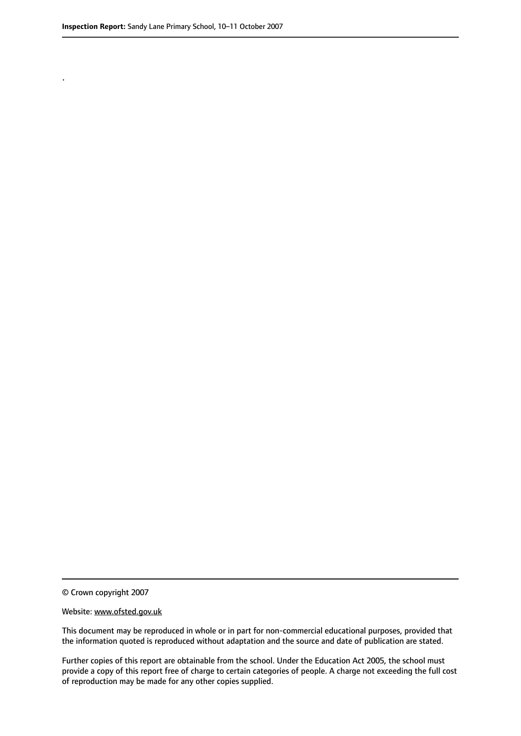.

© Crown copyright 2007

#### Website: www.ofsted.gov.uk

This document may be reproduced in whole or in part for non-commercial educational purposes, provided that the information quoted is reproduced without adaptation and the source and date of publication are stated.

Further copies of this report are obtainable from the school. Under the Education Act 2005, the school must provide a copy of this report free of charge to certain categories of people. A charge not exceeding the full cost of reproduction may be made for any other copies supplied.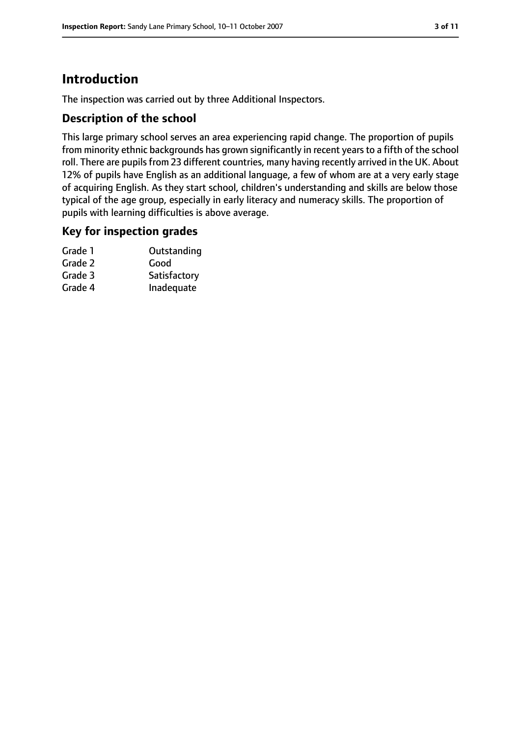# **Introduction**

The inspection was carried out by three Additional Inspectors.

#### **Description of the school**

This large primary school serves an area experiencing rapid change. The proportion of pupils from minority ethnic backgrounds has grown significantly in recent years to a fifth of the school roll. There are pupils from 23 different countries, many having recently arrived in the UK. About 12% of pupils have English as an additional language, a few of whom are at a very early stage of acquiring English. As they start school, children's understanding and skills are below those typical of the age group, especially in early literacy and numeracy skills. The proportion of pupils with learning difficulties is above average.

#### **Key for inspection grades**

| Grade 1 | Outstanding  |
|---------|--------------|
| Grade 2 | Good         |
| Grade 3 | Satisfactory |
| Grade 4 | Inadequate   |
|         |              |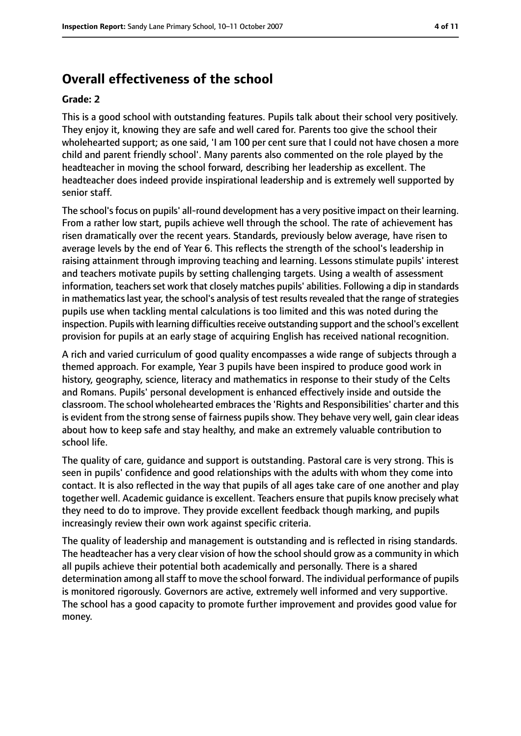# **Overall effectiveness of the school**

#### **Grade: 2**

This is a good school with outstanding features. Pupils talk about their school very positively. They enjoy it, knowing they are safe and well cared for. Parents too give the school their wholehearted support; as one said, 'I am 100 per cent sure that I could not have chosen a more child and parent friendly school'. Many parents also commented on the role played by the headteacher in moving the school forward, describing her leadership as excellent. The headteacher does indeed provide inspirational leadership and is extremely well supported by senior staff.

The school's focus on pupils' all-round development has a very positive impact on their learning. From a rather low start, pupils achieve well through the school. The rate of achievement has risen dramatically over the recent years. Standards, previously below average, have risen to average levels by the end of Year 6. This reflects the strength of the school's leadership in raising attainment through improving teaching and learning. Lessons stimulate pupils' interest and teachers motivate pupils by setting challenging targets. Using a wealth of assessment information, teachers set work that closely matches pupils' abilities. Following a dip in standards in mathematics last year, the school's analysis of test results revealed that the range of strategies pupils use when tackling mental calculations is too limited and this was noted during the inspection. Pupils with learning difficulties receive outstanding support and the school's excellent provision for pupils at an early stage of acquiring English has received national recognition.

A rich and varied curriculum of good quality encompasses a wide range of subjects through a themed approach. For example, Year 3 pupils have been inspired to produce good work in history, geography, science, literacy and mathematics in response to their study of the Celts and Romans. Pupils' personal development is enhanced effectively inside and outside the classroom. The school wholehearted embracesthe 'Rights and Responsibilities' charter and this is evident from the strong sense of fairness pupils show. They behave very well, gain clear ideas about how to keep safe and stay healthy, and make an extremely valuable contribution to school life.

The quality of care, guidance and support is outstanding. Pastoral care is very strong. This is seen in pupils' confidence and good relationships with the adults with whom they come into contact. It is also reflected in the way that pupils of all ages take care of one another and play together well. Academic guidance is excellent. Teachers ensure that pupils know precisely what they need to do to improve. They provide excellent feedback though marking, and pupils increasingly review their own work against specific criteria.

The quality of leadership and management is outstanding and is reflected in rising standards. The headteacher has a very clear vision of how the school should grow as a community in which all pupils achieve their potential both academically and personally. There is a shared determination among all staff to move the school forward. The individual performance of pupils is monitored rigorously. Governors are active, extremely well informed and very supportive. The school has a good capacity to promote further improvement and provides good value for money.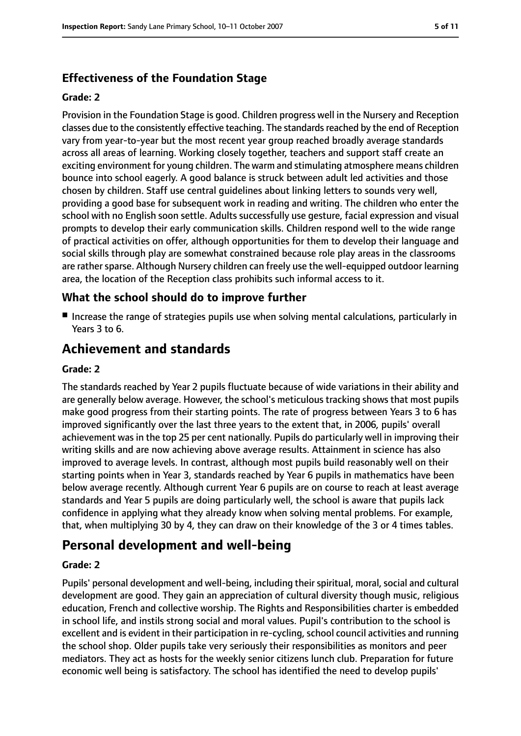## **Effectiveness of the Foundation Stage**

#### **Grade: 2**

Provision in the Foundation Stage is good. Children progress well in the Nursery and Reception classes due to the consistently effective teaching. The standardsreached by the end of Reception vary from year-to-year but the most recent year group reached broadly average standards across all areas of learning. Working closely together, teachers and support staff create an exciting environment for young children. The warm and stimulating atmosphere means children bounce into school eagerly. A good balance is struck between adult led activities and those chosen by children. Staff use central guidelines about linking letters to sounds very well, providing a good base for subsequent work in reading and writing. The children who enter the school with no English soon settle. Adults successfully use gesture, facial expression and visual prompts to develop their early communication skills. Children respond well to the wide range of practical activities on offer, although opportunities for them to develop their language and social skills through play are somewhat constrained because role play areas in the classrooms are rather sparse. Although Nursery children can freely use the well-equipped outdoor learning area, the location of the Reception class prohibits such informal access to it.

### **What the school should do to improve further**

■ Increase the range of strategies pupils use when solving mental calculations, particularly in Years 3 to 6.

# **Achievement and standards**

#### **Grade: 2**

The standards reached by Year 2 pupils fluctuate because of wide variations in their ability and are generally below average. However, the school's meticulous tracking shows that most pupils make good progress from their starting points. The rate of progress between Years 3 to 6 has improved significantly over the last three years to the extent that, in 2006, pupils' overall achievement was in the top 25 per cent nationally. Pupils do particularly well in improving their writing skills and are now achieving above average results. Attainment in science has also improved to average levels. In contrast, although most pupils build reasonably well on their starting points when in Year 3, standards reached by Year 6 pupils in mathematics have been below average recently. Although current Year 6 pupils are on course to reach at least average standards and Year 5 pupils are doing particularly well, the school is aware that pupils lack confidence in applying what they already know when solving mental problems. For example, that, when multiplying 30 by 4, they can draw on their knowledge of the 3 or 4 times tables.

## **Personal development and well-being**

#### **Grade: 2**

Pupils' personal development and well-being, including their spiritual, moral, social and cultural development are good. They gain an appreciation of cultural diversity though music, religious education, French and collective worship. The Rights and Responsibilities charter is embedded in school life, and instils strong social and moral values. Pupil's contribution to the school is excellent and is evident in their participation in re-cycling, school council activities and running the school shop. Older pupils take very seriously their responsibilities as monitors and peer mediators. They act as hosts for the weekly senior citizens lunch club. Preparation for future economic well being is satisfactory. The school has identified the need to develop pupils'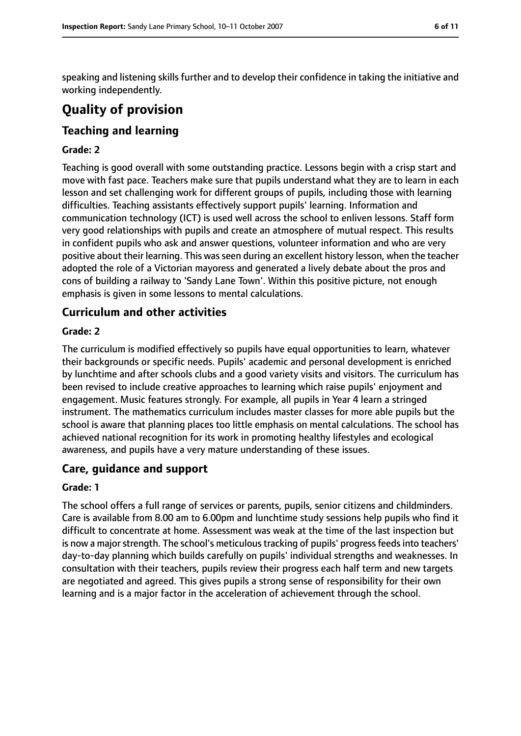speaking and listening skills further and to develop their confidence in taking the initiative and working independently.

# **Quality of provision**

## **Teaching and learning**

#### **Grade: 2**

Teaching is good overall with some outstanding practice. Lessons begin with a crisp start and move with fast pace. Teachers make sure that pupils understand what they are to learn in each lesson and set challenging work for different groups of pupils, including those with learning difficulties. Teaching assistants effectively support pupils' learning. Information and communication technology (ICT) is used well across the school to enliven lessons. Staff form very good relationships with pupils and create an atmosphere of mutual respect. This results in confident pupils who ask and answer questions, volunteer information and who are very positive about their learning. This was seen during an excellent history lesson, when the teacher adopted the role of a Victorian mayoress and generated a lively debate about the pros and cons of building a railway to 'Sandy Lane Town'. Within this positive picture, not enough emphasis is given in some lessons to mental calculations.

### **Curriculum and other activities**

#### **Grade: 2**

The curriculum is modified effectively so pupils have equal opportunities to learn, whatever their backgrounds or specific needs. Pupils' academic and personal development is enriched by lunchtime and after schools clubs and a good variety visits and visitors. The curriculum has been revised to include creative approaches to learning which raise pupils' enjoyment and engagement. Music features strongly. For example, all pupils in Year 4 learn a stringed instrument. The mathematics curriculum includes master classes for more able pupils but the school is aware that planning places too little emphasis on mental calculations. The school has achieved national recognition for its work in promoting healthy lifestyles and ecological awareness, and pupils have a very mature understanding of these issues.

#### **Care, guidance and support**

#### **Grade: 1**

The school offers a full range of services or parents, pupils, senior citizens and childminders. Care is available from 8.00 am to 6.00pm and lunchtime study sessions help pupils who find it difficult to concentrate at home. Assessment was weak at the time of the last inspection but is now a major strength. The school's meticulous tracking of pupils' progress feeds into teachers' day-to-day planning which builds carefully on pupils' individual strengths and weaknesses. In consultation with their teachers, pupils review their progress each half term and new targets are negotiated and agreed. This gives pupils a strong sense of responsibility for their own learning and is a major factor in the acceleration of achievement through the school.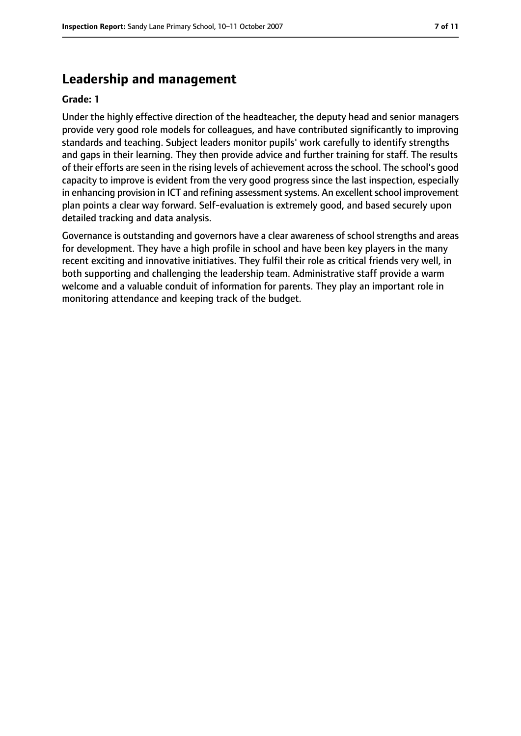## **Leadership and management**

#### **Grade: 1**

Under the highly effective direction of the headteacher, the deputy head and senior managers provide very good role models for colleagues, and have contributed significantly to improving standards and teaching. Subject leaders monitor pupils' work carefully to identify strengths and gaps in their learning. They then provide advice and further training for staff. The results of their efforts are seen in the rising levels of achievement across the school. The school's good capacity to improve is evident from the very good progress since the last inspection, especially in enhancing provision in ICT and refining assessment systems. An excellent school improvement plan points a clear way forward. Self-evaluation is extremely good, and based securely upon detailed tracking and data analysis.

Governance is outstanding and governors have a clear awareness of school strengths and areas for development. They have a high profile in school and have been key players in the many recent exciting and innovative initiatives. They fulfil their role as critical friends very well, in both supporting and challenging the leadership team. Administrative staff provide a warm welcome and a valuable conduit of information for parents. They play an important role in monitoring attendance and keeping track of the budget.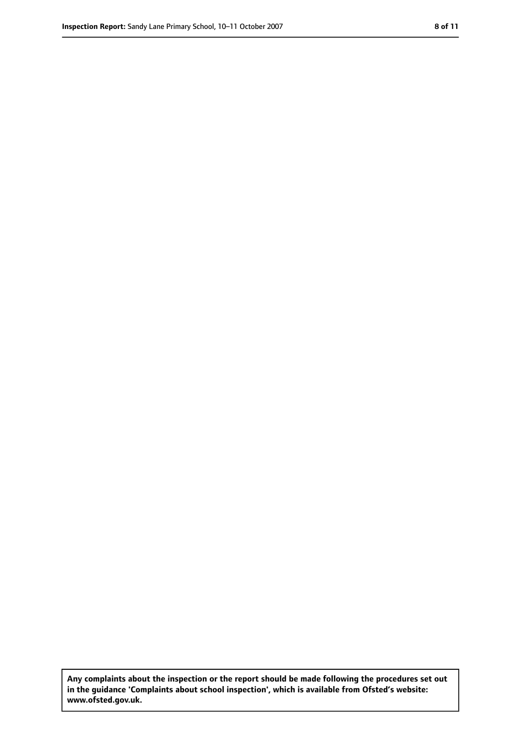**Any complaints about the inspection or the report should be made following the procedures set out in the guidance 'Complaints about school inspection', which is available from Ofsted's website: www.ofsted.gov.uk.**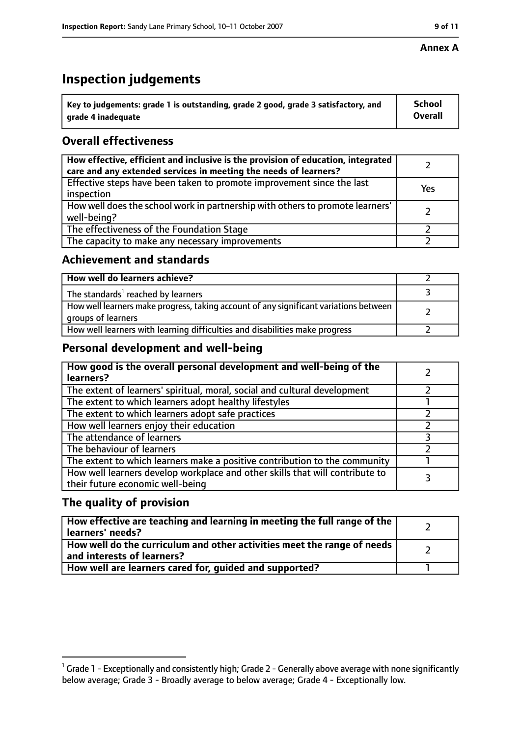#### **Annex A**

# **Inspection judgements**

| Key to judgements: grade 1 is outstanding, grade 2 good, grade 3 satisfactory, and | <b>School</b>  |
|------------------------------------------------------------------------------------|----------------|
| grade 4 inadequate                                                                 | <b>Overall</b> |

## **Overall effectiveness**

| How effective, efficient and inclusive is the provision of education, integrated<br>care and any extended services in meeting the needs of learners? |     |
|------------------------------------------------------------------------------------------------------------------------------------------------------|-----|
| Effective steps have been taken to promote improvement since the last<br>inspection                                                                  | Yes |
| How well does the school work in partnership with others to promote learners'<br>well-being?                                                         |     |
| The effectiveness of the Foundation Stage                                                                                                            |     |
| The capacity to make any necessary improvements                                                                                                      |     |

#### **Achievement and standards**

| How well do learners achieve?                                                                               |  |
|-------------------------------------------------------------------------------------------------------------|--|
| The standards <sup>1</sup> reached by learners                                                              |  |
| How well learners make progress, taking account of any significant variations between<br>groups of learners |  |
| How well learners with learning difficulties and disabilities make progress                                 |  |

### **Personal development and well-being**

| How good is the overall personal development and well-being of the<br>learners?                                  |  |
|------------------------------------------------------------------------------------------------------------------|--|
| The extent of learners' spiritual, moral, social and cultural development                                        |  |
| The extent to which learners adopt healthy lifestyles                                                            |  |
| The extent to which learners adopt safe practices                                                                |  |
| How well learners enjoy their education                                                                          |  |
| The attendance of learners                                                                                       |  |
| The behaviour of learners                                                                                        |  |
| The extent to which learners make a positive contribution to the community                                       |  |
| How well learners develop workplace and other skills that will contribute to<br>their future economic well-being |  |

### **The quality of provision**

| How effective are teaching and learning in meeting the full range of the<br>learners' needs?          |  |
|-------------------------------------------------------------------------------------------------------|--|
| How well do the curriculum and other activities meet the range of needs<br>and interests of learners? |  |
| How well are learners cared for, quided and supported?                                                |  |

 $^1$  Grade 1 - Exceptionally and consistently high; Grade 2 - Generally above average with none significantly below average; Grade 3 - Broadly average to below average; Grade 4 - Exceptionally low.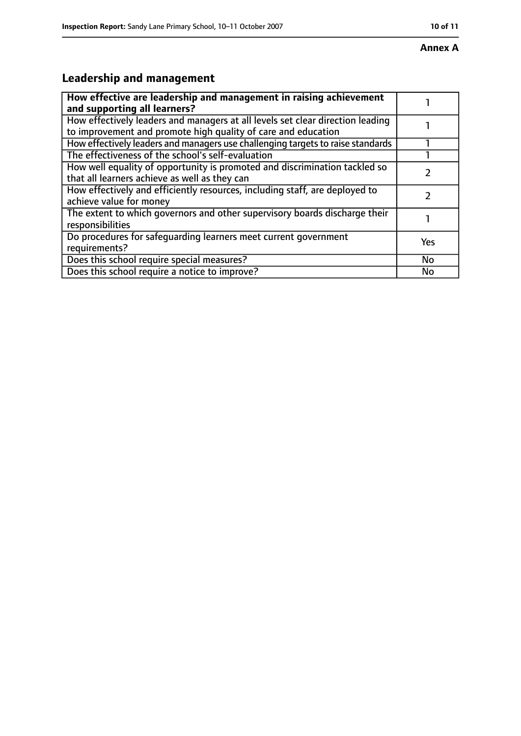# **Leadership and management**

| How effective are leadership and management in raising achievement<br>and supporting all learners?                                              |           |
|-------------------------------------------------------------------------------------------------------------------------------------------------|-----------|
| How effectively leaders and managers at all levels set clear direction leading<br>to improvement and promote high quality of care and education |           |
| How effectively leaders and managers use challenging targets to raise standards                                                                 |           |
| The effectiveness of the school's self-evaluation                                                                                               |           |
| How well equality of opportunity is promoted and discrimination tackled so<br>that all learners achieve as well as they can                     |           |
| How effectively and efficiently resources, including staff, are deployed to<br>achieve value for money                                          |           |
| The extent to which governors and other supervisory boards discharge their<br>responsibilities                                                  |           |
| Do procedures for safequarding learners meet current government<br>requirements?                                                                | Yes       |
| Does this school require special measures?                                                                                                      | <b>No</b> |
| Does this school require a notice to improve?                                                                                                   | No        |